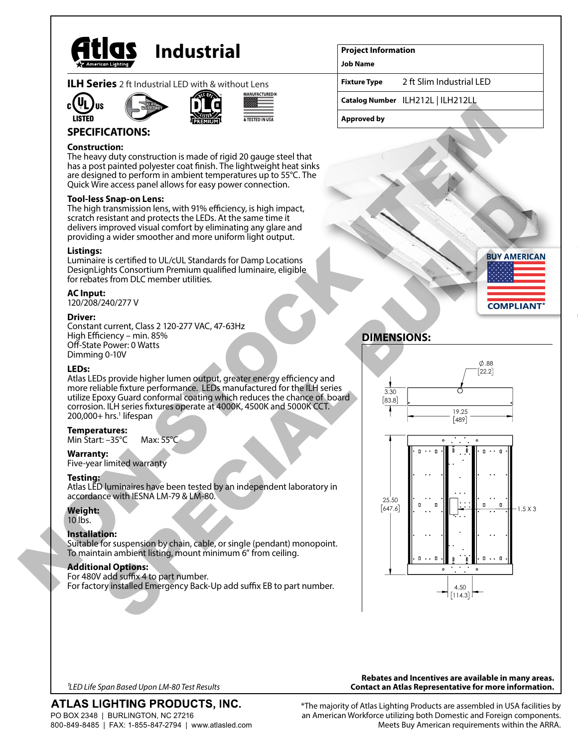

# **Industrial**

|  |  | <b>ILH Series</b> 2 ft Industrial LED with & without Lens |
|--|--|-----------------------------------------------------------|
|  |  |                                                           |







# **SPECIFICATIONS:**

#### **Construction:**

The heavy duty construction is made of rigid 20 gauge steel that has a post painted polyester coat finish. The lightweight heat sinks are designed to perform in ambient temperatures up to 55°C. The Quick Wire access panel allows for easy power connection.

#### **Tool-less Snap-on Lens:**

The high transmission lens, with 91% efficiency, is high impact, scratch resistant and protects the LEDs. At the same time it delivers improved visual comfort by eliminating any glare and providing a wider smoother and more uniform light output.

#### **Listings:**

Luminaire is certified to UL/cUL Standards for Damp Locations DesignLights Consortium Premium qualified luminaire, eligible for rebates from DLC member utilities.

#### **AC Input:**

120/208/240/277 V

#### **Driver:**

Constant current, Class 2 120-277 VAC, 47-63Hz High Efficiency – min. 85% Off-State Power: 0 Watts Dimming 0-10V

#### **LEDs:**

Atlas LEDs provide higher lumen output, greater energy efficiency and more reliable fixture performance. LEDs manufactured for the ILH series utilize Epoxy Guard conformal coating which reduces the chance of board corrosion. ILH series fixtures operate at 4000K, 4500K and 5000K CCT. 200,000+ hrs.<sup>1</sup> lifespan

#### **Temperatures:**

Min Start: –35°C Max: 55°C

#### **Warranty:**

Five-year limited warranty

#### **Testing:**

Atlas LED luminaires have been tested by an independent laboratory in accordance with IESNA LM-79 & LM-80.

#### **Weight:**

10 lbs.

# **Installation:**

Suitable for suspension by chain, cable, or single (pendant) monopoint. To maintain ambient listing, mount minimum 6" from ceiling.

#### **Additional Options:**

For 480V add suffix 4 to part number. For factory installed Emergency Back-Up add suffix EB to part number.

#### **Project Information**

**Job Name**

**Fixture Type** 2 ft Slim Industrial LED

**Catalog Number** ILH212L | ILH212LL

**Approved by**



# **DIMENSIONS:**



*1LED Life Span Based Upon LM-80 Test Results*

ATLAS LIGHTING PRODUCTS, INC.

PO BOX 2348 | BURLINGTON, NC 27216 800-849-8485 | FAX: 1-855-847-2794 | www.atlasled.com

**Rebates and Incentives are available in many areas. Contact an Atlas Representative for more information.**

\*The majority of Atlas Lighting Products are assembled in USA facilities by an American Workforce utilizing both Domestic and Foreign components. Meets Buy American requirements within the ARRA.